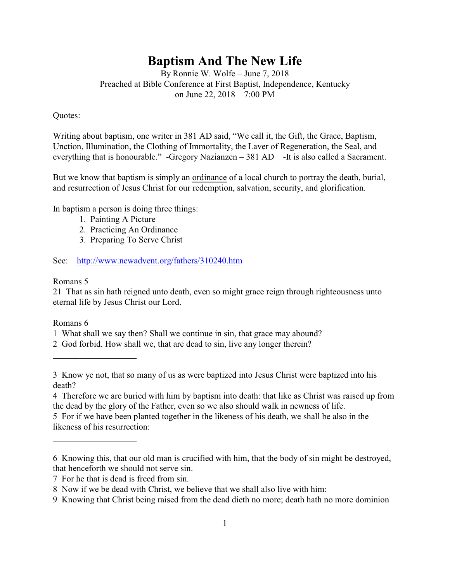# **Baptism And The New Life**

By Ronnie W. Wolfe – June 7, 2018 Preached at Bible Conference at First Baptist, Independence, Kentucky on June 22, 2018 – 7:00 PM

## Quotes:

Writing about baptism, one writer in 381 AD said, "We call it, the Gift, the Grace, Baptism, Unction, Illumination, the Clothing of Immortality, the Laver of Regeneration, the Seal, and everything that is honourable." -Gregory Nazianzen – 381 AD -It is also called a Sacrament.

But we know that baptism is simply an ordinance of a local church to portray the death, burial, and resurrection of Jesus Christ for our redemption, salvation, security, and glorification.

In baptism a person is doing three things:

- 1. Painting A Picture
- 2. Practicing An Ordinance
- 3. Preparing To Serve Christ

## See: <http://www.newadvent.org/fathers/310240.htm>

## Romans 5

21 That as sin hath reigned unto death, even so might grace reign through righteousness unto eternal life by Jesus Christ our Lord.

## Romans 6

 $\overline{\phantom{a}}$  , which is a set of the set of the set of the set of the set of the set of the set of the set of the set of the set of the set of the set of the set of the set of the set of the set of the set of the set of th

 $\overline{\phantom{a}}$  , which is a set of the set of the set of the set of the set of the set of the set of the set of the set of the set of the set of the set of the set of the set of the set of the set of the set of the set of th

1 What shall we say then? Shall we continue in sin, that grace may abound?

<sup>2</sup> God forbid. How shall we, that are dead to sin, live any longer therein?

<sup>3</sup> Know ye not, that so many of us as were baptized into Jesus Christ were baptized into his death?

<sup>4</sup> Therefore we are buried with him by baptism into death: that like as Christ was raised up from the dead by the glory of the Father, even so we also should walk in newness of life.

<sup>5</sup> For if we have been planted together in the likeness of his death, we shall be also in the likeness of his resurrection:

<sup>6</sup> Knowing this, that our old man is crucified with him, that the body of sin might be destroyed, that henceforth we should not serve sin.

<sup>7</sup> For he that is dead is freed from sin.

<sup>8</sup> Now if we be dead with Christ, we believe that we shall also live with him:

<sup>9</sup> Knowing that Christ being raised from the dead dieth no more; death hath no more dominion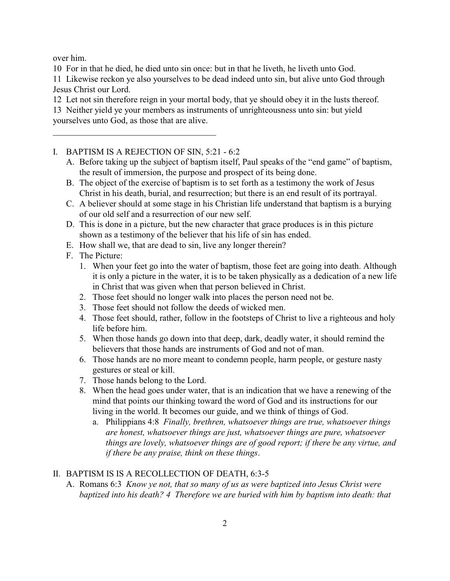over him.

10 For in that he died, he died unto sin once: but in that he liveth, he liveth unto God.

11 Likewise reckon ye also yourselves to be dead indeed unto sin, but alive unto God through Jesus Christ our Lord.

12 Let not sin therefore reign in your mortal body, that ye should obey it in the lusts thereof.

13 Neither yield ye your members as instruments of unrighteousness unto sin: but yield yourselves unto God, as those that are alive.

I. BAPTISM IS A REJECTION OF SIN, 5:21 - 6:2

\_\_\_\_\_\_\_\_\_\_\_\_\_\_\_\_\_\_\_\_\_\_\_\_\_\_\_\_\_\_\_\_\_\_\_\_\_

- A. Before taking up the subject of baptism itself, Paul speaks of the "end game" of baptism, the result of immersion, the purpose and prospect of its being done.
- B. The object of the exercise of baptism is to set forth as a testimony the work of Jesus Christ in his death, burial, and resurrection; but there is an end result of its portrayal.
- C. A believer should at some stage in his Christian life understand that baptism is a burying of our old self and a resurrection of our new self.
- D. This is done in a picture, but the new character that grace produces is in this picture shown as a testimony of the believer that his life of sin has ended.
- E. How shall we, that are dead to sin, live any longer therein?
- F. The Picture:
	- 1. When your feet go into the water of baptism, those feet are going into death. Although it is only a picture in the water, it is to be taken physically as a dedication of a new life in Christ that was given when that person believed in Christ.
	- 2. Those feet should no longer walk into places the person need not be.
	- 3. Those feet should not follow the deeds of wicked men.
	- 4. Those feet should, rather, follow in the footsteps of Christ to live a righteous and holy life before him.
	- 5. When those hands go down into that deep, dark, deadly water, it should remind the believers that those hands are instruments of God and not of man.
	- 6. Those hands are no more meant to condemn people, harm people, or gesture nasty gestures or steal or kill.
	- 7. Those hands belong to the Lord.
	- 8. When the head goes under water, that is an indication that we have a renewing of the mind that points our thinking toward the word of God and its instructions for our living in the world. It becomes our guide, and we think of things of God.
		- a. Philippians 4:8 *Finally, brethren, whatsoever things are true, whatsoever things are honest, whatsoever things are just, whatsoever things are pure, whatsoever things are lovely, whatsoever things are of good report; if there be any virtue, and if there be any praise, think on these things*.

## II. BAPTISM IS IS A RECOLLECTION OF DEATH, 6:3-5

A. Romans 6:3 *Know ye not, that so many of us as were baptized into Jesus Christ were baptized into his death? 4 Therefore we are buried with him by baptism into death: that*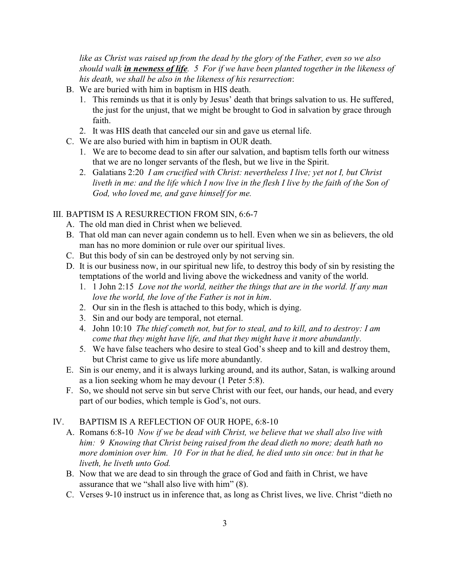*like as Christ was raised up from the dead by the glory of the Father, even so we also should walk in newness of life. 5 For if we have been planted together in the likeness of his death, we shall be also in the likeness of his resurrection*:

- B. We are buried with him in baptism in HIS death.
	- 1. This reminds us that it is only by Jesus' death that brings salvation to us. He suffered, the just for the unjust, that we might be brought to God in salvation by grace through faith.
	- 2. It was HIS death that canceled our sin and gave us eternal life.
- C. We are also buried with him in baptism in OUR death.
	- 1. We are to become dead to sin after our salvation, and baptism tells forth our witness that we are no longer servants of the flesh, but we live in the Spirit.
	- 2. Galatians 2:20 *I am crucified with Christ: nevertheless I live; yet not I, but Christ liveth in me: and the life which I now live in the flesh I live by the faith of the Son of God, who loved me, and gave himself for me.*

## III. BAPTISM IS A RESURRECTION FROM SIN, 6:6-7

- A. The old man died in Christ when we believed.
- B. That old man can never again condemn us to hell. Even when we sin as believers, the old man has no more dominion or rule over our spiritual lives.
- C. But this body of sin can be destroyed only by not serving sin.
- D. It is our business now, in our spiritual new life, to destroy this body of sin by resisting the temptations of the world and living above the wickedness and vanity of the world.
	- 1. 1 John 2:15 *Love not the world, neither the things that are in the world. If any man love the world, the love of the Father is not in him*.
	- 2. Our sin in the flesh is attached to this body, which is dying.
	- 3. Sin and our body are temporal, not eternal.
	- 4. John 10:10 *The thief cometh not, but for to steal, and to kill, and to destroy: I am come that they might have life, and that they might have it more abundantly*.
	- 5. We have false teachers who desire to steal God's sheep and to kill and destroy them, but Christ came to give us life more abundantly.
- E. Sin is our enemy, and it is always lurking around, and its author, Satan, is walking around as a lion seeking whom he may devour (1 Peter 5:8).
- F. So, we should not serve sin but serve Christ with our feet, our hands, our head, and every part of our bodies, which temple is God's, not ours.

## IV. BAPTISM IS A REFLECTION OF OUR HOPE, 6:8-10

- A. Romans 6:8-10 *Now if we be dead with Christ, we believe that we shall also live with him: 9 Knowing that Christ being raised from the dead dieth no more; death hath no more dominion over him. 10 For in that he died, he died unto sin once: but in that he liveth, he liveth unto God.*
- B. Now that we are dead to sin through the grace of God and faith in Christ, we have assurance that we "shall also live with him" (8).
- C. Verses 9-10 instruct us in inference that, as long as Christ lives, we live. Christ "dieth no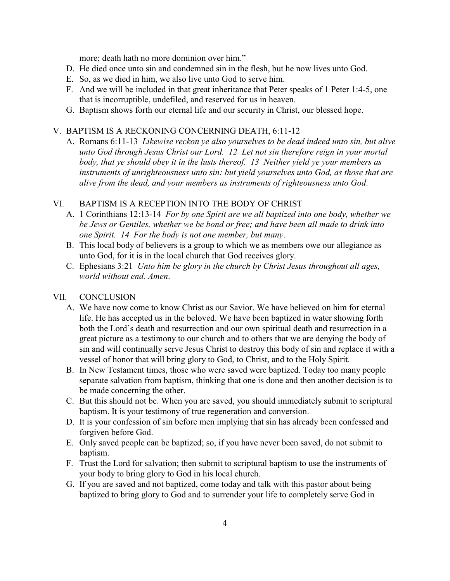more; death hath no more dominion over him."

- D. He died once unto sin and condemned sin in the flesh, but he now lives unto God.
- E. So, as we died in him, we also live unto God to serve him.
- F. And we will be included in that great inheritance that Peter speaks of 1 Peter 1:4-5, one that is incorruptible, undefiled, and reserved for us in heaven.
- G. Baptism shows forth our eternal life and our security in Christ, our blessed hope.

### V. BAPTISM IS A RECKONING CONCERNING DEATH, 6:11-12

A. Romans 6:11-13 *Likewise reckon ye also yourselves to be dead indeed unto sin, but alive unto God through Jesus Christ our Lord. 12 Let not sin therefore reign in your mortal body, that ye should obey it in the lusts thereof. 13 Neither yield ye your members as instruments of unrighteousness unto sin: but yield yourselves unto God, as those that are alive from the dead, and your members as instruments of righteousness unto God*.

## VI. BAPTISM IS A RECEPTION INTO THE BODY OF CHRIST

- A. 1 Corinthians 12:13-14 *For by one Spirit are we all baptized into one body, whether we be Jews or Gentiles, whether we be bond or free; and have been all made to drink into one Spirit. 14 For the body is not one member, but many*.
- B. This local body of believers is a group to which we as members owe our allegiance as unto God, for it is in the local church that God receives glory.
- C. Ephesians 3:21 *Unto him be glory in the church by Christ Jesus throughout all ages, world without end. Amen*.

### VII. CONCLUSION

- A. We have now come to know Christ as our Savior. We have believed on him for eternal life. He has accepted us in the beloved. We have been baptized in water showing forth both the Lord's death and resurrection and our own spiritual death and resurrection in a great picture as a testimony to our church and to others that we are denying the body of sin and will continually serve Jesus Christ to destroy this body of sin and replace it with a vessel of honor that will bring glory to God, to Christ, and to the Holy Spirit.
- B. In New Testament times, those who were saved were baptized. Today too many people separate salvation from baptism, thinking that one is done and then another decision is to be made concerning the other.
- C. But this should not be. When you are saved, you should immediately submit to scriptural baptism. It is your testimony of true regeneration and conversion.
- D. It is your confession of sin before men implying that sin has already been confessed and forgiven before God.
- E. Only saved people can be baptized; so, if you have never been saved, do not submit to baptism.
- F. Trust the Lord for salvation; then submit to scriptural baptism to use the instruments of your body to bring glory to God in his local church.
- G. If you are saved and not baptized, come today and talk with this pastor about being baptized to bring glory to God and to surrender your life to completely serve God in